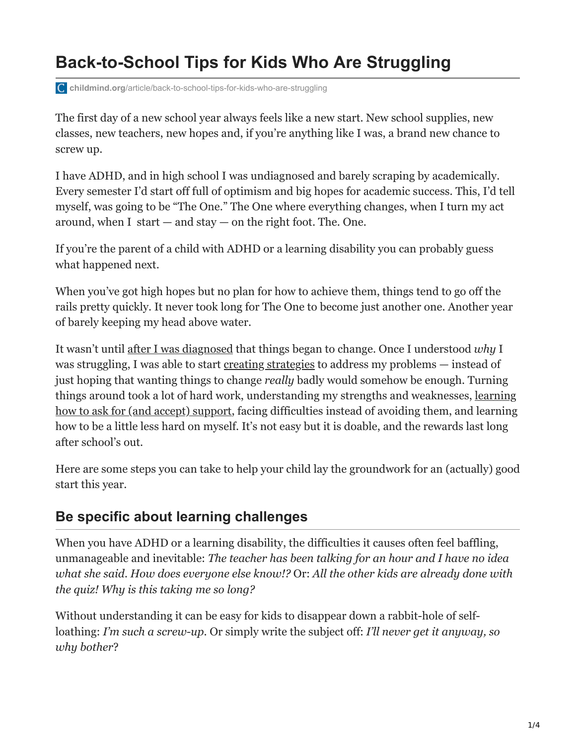# **Back-to-School Tips for Kids Who Are Struggling**

**childmind.org**[/article/back-to-school-tips-for-kids-who-are-struggling](https://childmind.org/article/back-to-school-tips-for-kids-who-are-struggling/)

The first day of a new school year always feels like a new start. New school supplies, new classes, new teachers, new hopes and, if you're anything like I was, a brand new chance to screw up.

I have ADHD, and in high school I was undiagnosed and barely scraping by academically. Every semester I'd start off full of optimism and big hopes for academic success. This, I'd tell myself, was going to be "The One." The One where everything changes, when I turn my act around, when I start  $-$  and stay  $-$  on the right foot. The. One.

If you're the parent of a child with ADHD or a learning disability you can probably guess what happened next.

When you've got high hopes but no plan for how to achieve them, things tend to go off the rails pretty quickly. It never took long for The One to become just another one. Another year of barely keeping my head above water.

It wasn't until [after I was diagnosed](https://childmind.org/article/how-to-tell-if-your-daughter-has-adhd/) that things began to change. Once I understood *why* I was struggling, I was able to start [creating strategies](https://childmind.org/article/how-to-help-yourself-get-organized/) to address my problems — instead of just hoping that wanting things to change *really* badly would somehow be enough. Turning things around took a lot of hard work, understanding my strengths and weaknesses, learning [how to ask for \(and accept\) support, facing difficulties instead of avoiding them, and learning](https://childmind.org/article/how-to-help-kids-talk-about-learning-disabilities/) how to be a little less hard on myself. It's not easy but it is doable, and the rewards last long after school's out.

Here are some steps you can take to help your child lay the groundwork for an (actually) good start this year.

## **Be specific about learning challenges**

When you have ADHD or a learning disability, the difficulties it causes often feel baffling, unmanageable and inevitable: *The teacher has been talking for an hour and I have no idea what she said. How does everyone else know!?* Or: *All the other kids are already done with the quiz! Why is this taking me so long?* 

Without understanding it can be easy for kids to disappear down a rabbit-hole of selfloathing: *I'm such a screw-up*. Or simply write the subject off: *I'll never get it anyway, so why bother*?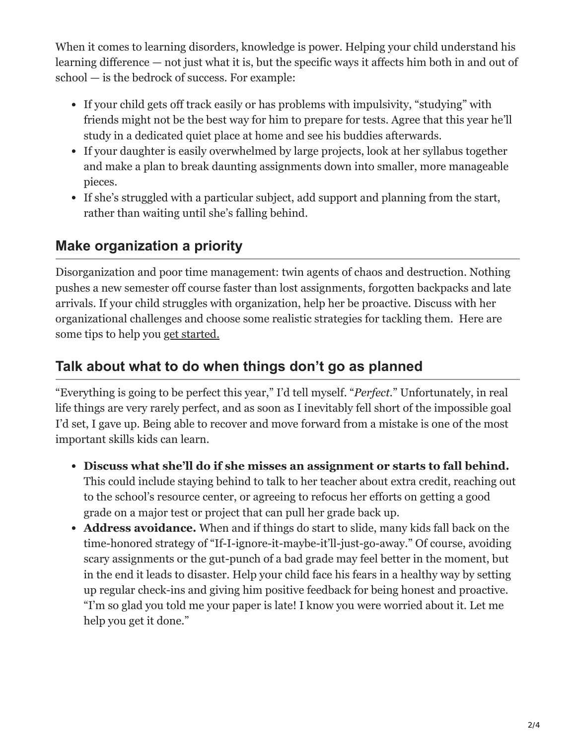When it comes to learning disorders, knowledge is power. Helping your child understand his learning difference — not just what it is, but the specific ways it affects him both in and out of school — is the bedrock of success. For example:

- If your child gets off track easily or has problems with impulsivity, "studying" with friends might not be the best way for him to prepare for tests. Agree that this year he'll study in a dedicated quiet place at home and see his buddies afterwards.
- If your daughter is easily overwhelmed by large projects, look at her syllabus together and make a plan to break daunting assignments down into smaller, more manageable pieces.
- If she's struggled with a particular subject, add support and planning from the start, rather than waiting until she's falling behind.

## **Make organization a priority**

Disorganization and poor time management: twin agents of chaos and destruction. Nothing pushes a new semester off course faster than lost assignments, forgotten backpacks and late arrivals. If your child struggles with organization, help her be proactive. Discuss with her organizational challenges and choose some realistic strategies for tackling them. Here are some tips to help you [get started.](https://childmind.org/article/how-to-help-yourself-get-organized/)

#### **Talk about what to do when things don't go as planned**

"Everything is going to be perfect this year," I'd tell myself. "*Perfect.*" Unfortunately, in real life things are very rarely perfect, and as soon as I inevitably fell short of the impossible goal I'd set, I gave up. Being able to recover and move forward from a mistake is one of the most important skills kids can learn.

- **Discuss what she'll do if she misses an assignment or starts to fall behind.** This could include staying behind to talk to her teacher about extra credit, reaching out to the school's resource center, or agreeing to refocus her efforts on getting a good grade on a major test or project that can pull her grade back up.
- **Address avoidance.** When and if things do start to slide, many kids fall back on the time-honored strategy of "If-I-ignore-it-maybe-it'll-just-go-away." Of course, avoiding scary assignments or the gut-punch of a bad grade may feel better in the moment, but in the end it leads to disaster. Help your child face his fears in a healthy way by setting up regular check-ins and giving him positive feedback for being honest and proactive. "I'm so glad you told me your paper is late! I know you were worried about it. Let me help you get it done."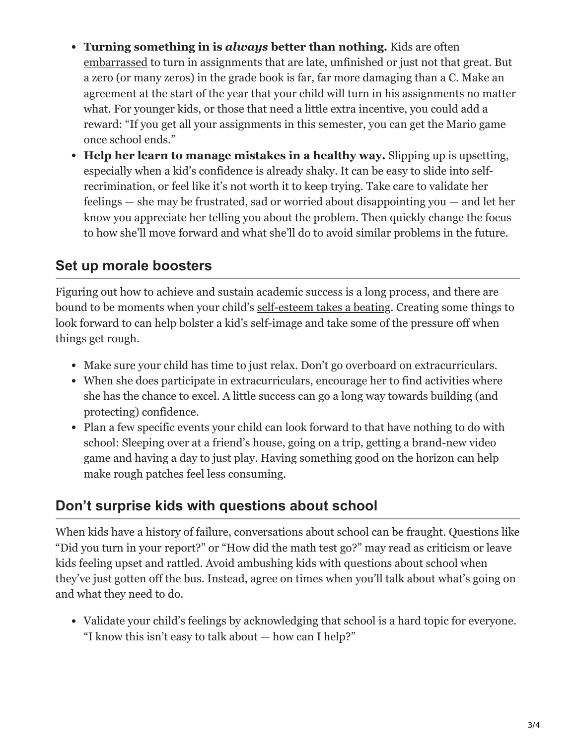- **Turning something in is** *always* **better than nothing.** Kids are often [embarrassed](https://childmind.org/article/help-kids-deal-embarrassment/) to turn in assignments that are late, unfinished or just not that great. But a zero (or many zeros) in the grade book is far, far more damaging than a C. Make an agreement at the start of the year that your child will turn in his assignments no matter what. For younger kids, or those that need a little extra incentive, you could add a reward: "If you get all your assignments in this semester, you can get the Mario game once school ends."
- **Help her learn to manage mistakes in a healthy way.** Slipping up is upsetting, especially when a kid's confidence is already shaky. It can be easy to slide into selfrecrimination, or feel like it's not worth it to keep trying. Take care to validate her feelings — she may be frustrated, sad or worried about disappointing you — and let her know you appreciate her telling you about the problem. Then quickly change the focus to how she'll move forward and what she'll do to avoid similar problems in the future.

## **Set up morale boosters**

Figuring out how to achieve and sustain academic success is a long process, and there are bound to be moments when your child's [self-esteem takes a beating.](https://childmind.org/article/supporting-the-emotional-needs-of-kids-with-disabilities/) Creating some things to look forward to can help bolster a kid's self-image and take some of the pressure off when things get rough.

- Make sure your child has time to just relax. Don't go overboard on extracurriculars.
- When she does participate in extracurriculars, encourage her to find activities where she has the chance to excel. A little success can go a long way towards building (and protecting) confidence.
- Plan a few specific events your child can look forward to that have nothing to do with school: Sleeping over at a friend's house, going on a trip, getting a brand-new video game and having a day to just play. Having something good on the horizon can help make rough patches feel less consuming.

#### **Don't surprise kids with questions about school**

When kids have a history of failure, conversations about school can be fraught. Questions like "Did you turn in your report?" or "How did the math test go?" may read as criticism or leave kids feeling upset and rattled. Avoid ambushing kids with questions about school when they've just gotten off the bus. Instead, agree on times when you'll talk about what's going on and what they need to do.

Validate your child's feelings by acknowledging that school is a hard topic for everyone. "I know this isn't easy to talk about — how can I help?"